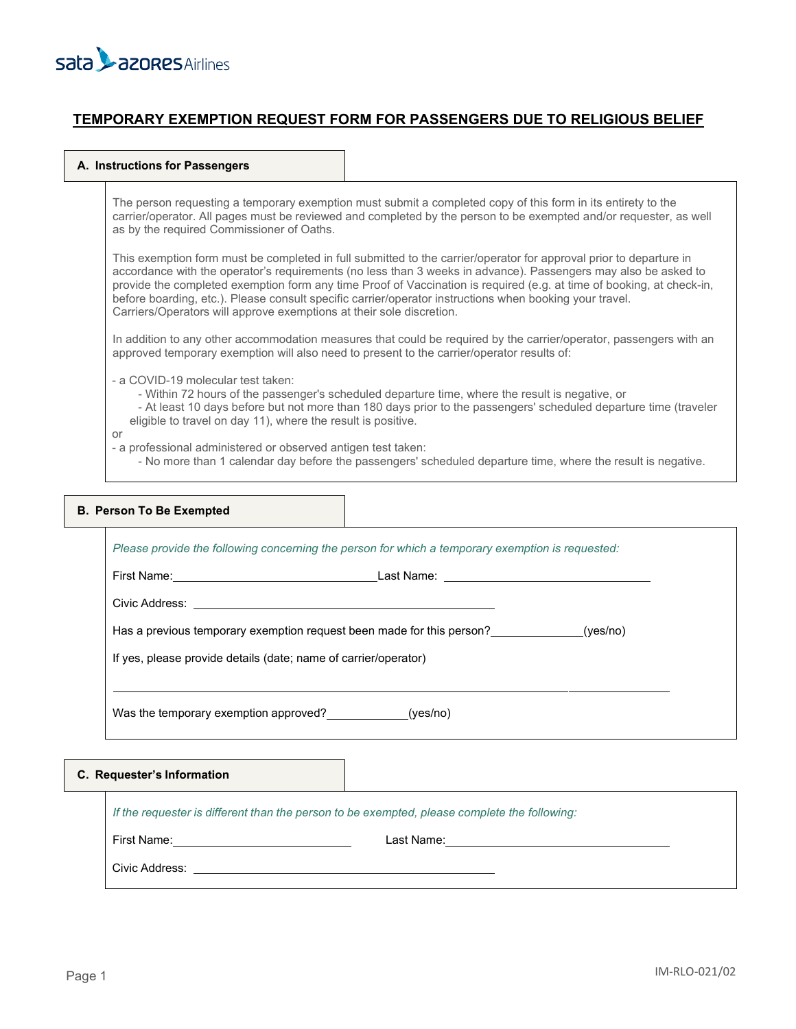

## **TEMPORARY EXEMPTION REQUEST FORM FOR PASSENGERS DUE TO RELIGIOUS BELIEF**

#### **A. Instructions for Passengers**

The person requesting a temporary exemption must submit a completed copy of this form in its entirety to the carrier/operator. All pages must be reviewed and completed by the person to be exempted and/or requester, as well as by the required Commissioner of Oaths.

This exemption form must be completed in full submitted to the carrier/operator for approval prior to departure in accordance with the operator's requirements (no less than 3 weeks in advance). Passengers may also be asked to provide the completed exemption form any time Proof of Vaccination is required (e.g. at time of booking, at check-in, before boarding, etc.). Please consult specific carrier/operator instructions when booking your travel. Carriers/Operators will approve exemptions at their sole discretion.

In addition to any other accommodation measures that could be required by the carrier/operator, passengers with an approved temporary exemption will also need to present to the carrier/operator results of:

- a COVID-19 molecular test taken:

- Within 72 hours of the passenger's scheduled departure time, where the result is negative, or

 - At least 10 days before but not more than 180 days prior to the passengers' scheduled departure time (traveler eligible to travel on day 11), where the result is positive.

or

- a professional administered or observed antigen test taken:
	- No more than 1 calendar day before the passengers' scheduled departure time, where the result is negative.

| <b>B. Person To Be Exempted</b>                                                                  |  |  |
|--------------------------------------------------------------------------------------------------|--|--|
| Please provide the following concerning the person for which a temporary exemption is requested: |  |  |
|                                                                                                  |  |  |
|                                                                                                  |  |  |
| Has a previous temporary exemption request been made for this person? ____________(yes/no)       |  |  |
| If yes, please provide details (date; name of carrier/operator)                                  |  |  |
| Was the temporary exemption approved? ______________(yes/no)                                     |  |  |
| C. Requester's Information                                                                       |  |  |
| If the requester is different than the person to be exempted, please complete the following:     |  |  |

First Name: Last Name:

Civic Address: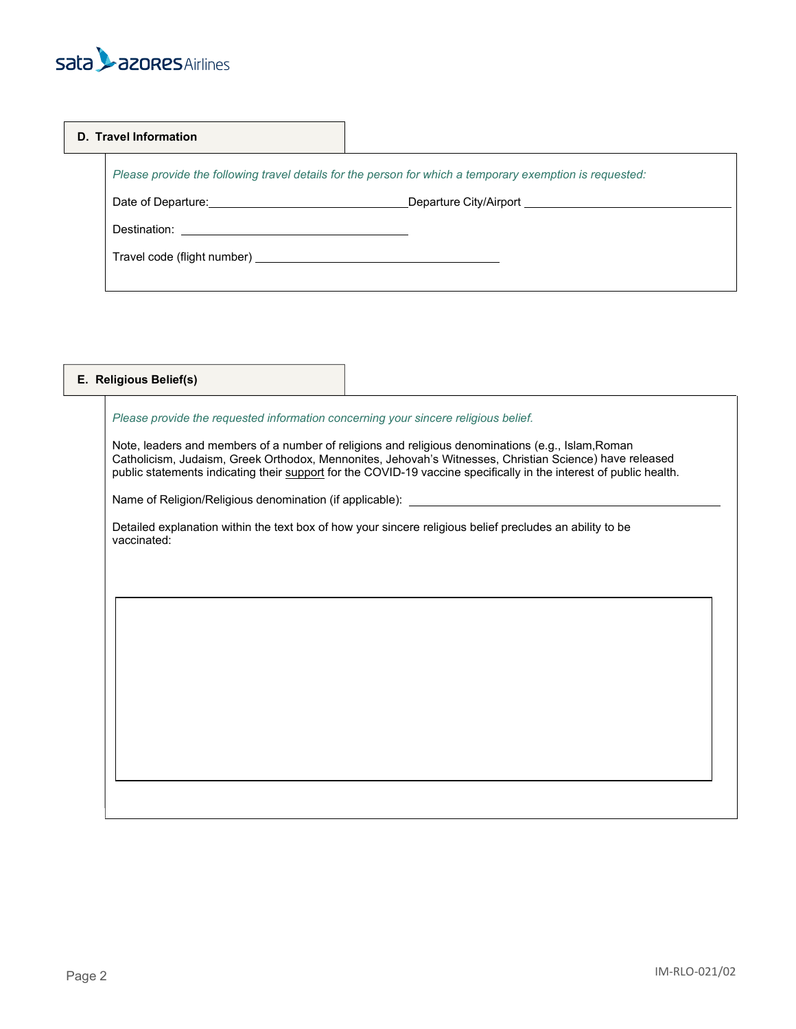# sata **L**azores Airlines

#### **D. Travel Information**

*Please provide the following travel details for the person for which a temporary exemption is requested:* 

Date of Departure: Departure City/Airport

Destination:

| Travel code (flight number) _ |  |  |  |
|-------------------------------|--|--|--|
|-------------------------------|--|--|--|

| E. Religious Belief(s) |                                                                                                                                                                                                                                                                                                                                     |  |
|------------------------|-------------------------------------------------------------------------------------------------------------------------------------------------------------------------------------------------------------------------------------------------------------------------------------------------------------------------------------|--|
|                        | Please provide the requested information concerning your sincere religious belief.                                                                                                                                                                                                                                                  |  |
|                        | Note, leaders and members of a number of religions and religious denominations (e.g., Islam, Roman<br>Catholicism, Judaism, Greek Orthodox, Mennonites, Jehovah's Witnesses, Christian Science) have released<br>public statements indicating their support for the COVID-19 vaccine specifically in the interest of public health. |  |
|                        |                                                                                                                                                                                                                                                                                                                                     |  |
| vaccinated:            | Detailed explanation within the text box of how your sincere religious belief precludes an ability to be                                                                                                                                                                                                                            |  |
|                        |                                                                                                                                                                                                                                                                                                                                     |  |
|                        |                                                                                                                                                                                                                                                                                                                                     |  |
|                        |                                                                                                                                                                                                                                                                                                                                     |  |
|                        |                                                                                                                                                                                                                                                                                                                                     |  |
|                        |                                                                                                                                                                                                                                                                                                                                     |  |
|                        |                                                                                                                                                                                                                                                                                                                                     |  |
|                        |                                                                                                                                                                                                                                                                                                                                     |  |
|                        |                                                                                                                                                                                                                                                                                                                                     |  |
|                        |                                                                                                                                                                                                                                                                                                                                     |  |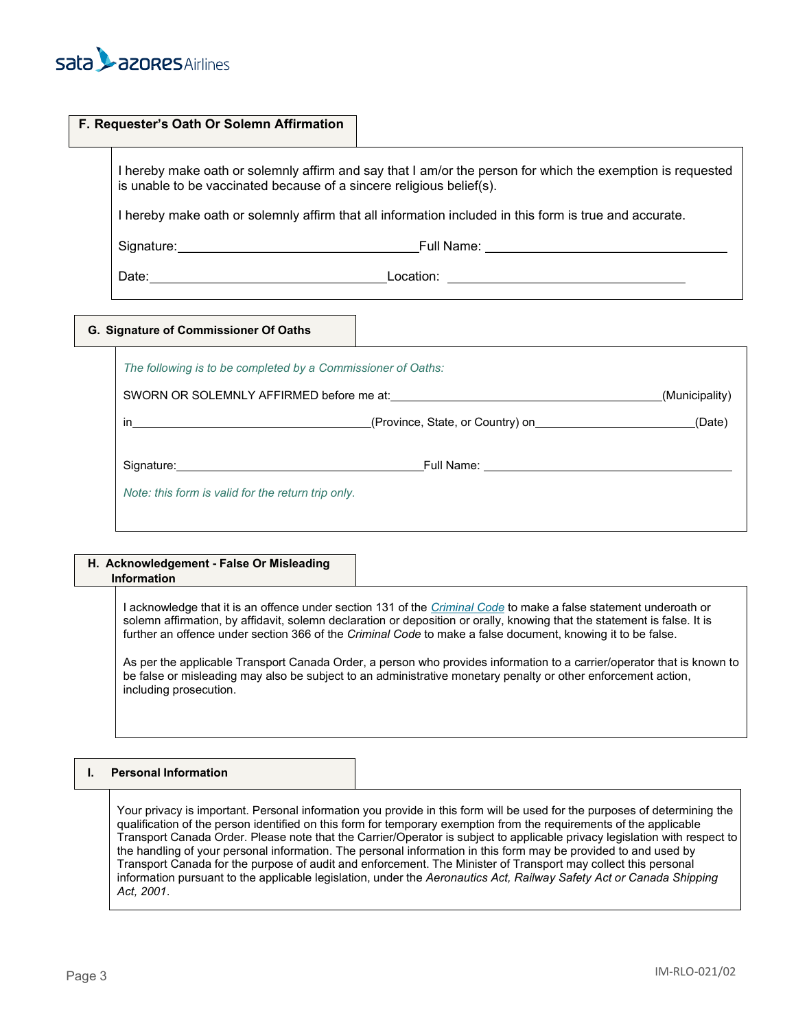

| F. Requester's Oath Or Solemn Affirmation                                                                                                                                                                                      |
|--------------------------------------------------------------------------------------------------------------------------------------------------------------------------------------------------------------------------------|
| I hereby make oath or solemnly affirm and say that I am/or the person for which the exemption is requested<br>is unable to be vaccinated because of a sincere religious belief(s).                                             |
| I hereby make oath or solemnly affirm that all information included in this form is true and accurate.                                                                                                                         |
| Signature: Equipment of the Contract of Contract of Contract of Contract of Contract of Contract of Contract of Contract of Contract of Contract of Contract of Contract of Contract of Contract of Contract of Contract of Co |
|                                                                                                                                                                                                                                |

|                                                                                                                                                                                                                                    |                                                                                                                                                                                                                                      | (Municipality) |
|------------------------------------------------------------------------------------------------------------------------------------------------------------------------------------------------------------------------------------|--------------------------------------------------------------------------------------------------------------------------------------------------------------------------------------------------------------------------------------|----------------|
| $\mathsf{in}$ . The set of the set of the set of the set of the set of the set of the set of the set of the set of the set of the set of the set of the set of the set of the set of the set of the set of the set of the set of t | (Province, State, or Country) on <b>contral contract and contract and contract and contract and contract and control contract and contract and contract and contract and contract and contract and contract and contract and con</b> | (Date)         |
| Signature: the contract of the contract of the contract of the contract of the contract of the contract of the contract of the contract of the contract of the contract of the contract of the contract of the contract of the     |                                                                                                                                                                                                                                      |                |

#### **H. Acknowledgement - False Or Misleading Information**

I acknowledge that it is an offence under section 131 of the *[Criminal](https://laws-lois.justice.gc.ca/eng/acts/c-46/) Code* to make a false statement underoath or solemn affirmation, by affidavit, solemn declaration or deposition or orally, knowing that the statement is false. It is further an offence under section 366 of the *Criminal Code* to make a false document, knowing it to be false.

As per the applicable Transport Canada Order, a person who provides information to a carrier/operator that is known to be false or misleading may also be subject to an administrative monetary penalty or other enforcement action, including prosecution.

### **I. Personal Information**

Your privacy is important. Personal information you provide in this form will be used for the purposes of determining the qualification of the person identified on this form for temporary exemption from the requirements of the applicable Transport Canada Order. Please note that the Carrier/Operator is subject to applicable privacy legislation with respect to the handling of your personal information. The personal information in this form may be provided to and used by Transport Canada for the purpose of audit and enforcement. The Minister of Transport may collect this personal information pursuant to the applicable legislation, under the *Aeronautics Act, Railway Safety Act or Canada Shipping Act, 2001*.